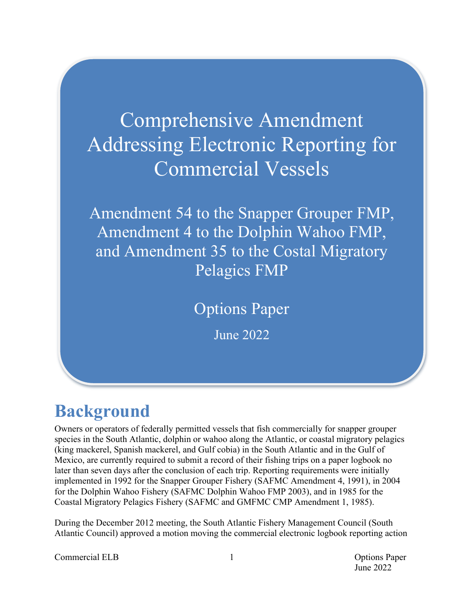# Comprehensive Amendment Addressing Electronic Reporting for Commercial Vessels

Amendment 54 to the Snapper Grouper FMP, Amendment 4 to the Dolphin Wahoo FMP, and Amendment 35 to the Costal Migratory Pelagics FMP

Options Paper

June 2022

# **Background**

Owners or operators of federally permitted vessels that fish commercially for snapper grouper species in the South Atlantic, dolphin or wahoo along the Atlantic, or coastal migratory pelagics (king mackerel, Spanish mackerel, and Gulf cobia) in the South Atlantic and in the Gulf of Mexico, are currently required to submit a record of their fishing trips on a paper logbook no later than seven days after the conclusion of each trip. Reporting requirements were initially implemented in 1992 for the Snapper Grouper Fishery (SAFMC Amendment 4, 1991), in 2004 for the Dolphin Wahoo Fishery (SAFMC Dolphin Wahoo FMP 2003), and in 1985 for the Coastal Migratory Pelagics Fishery (SAFMC and GMFMC CMP Amendment 1, 1985).

During the December 2012 meeting, the South Atlantic Fishery Management Council (South Atlantic Council) approved a motion moving the commercial electronic logbook reporting action

Commercial ELB 1 Commercial ELB 2 2 Options Paper

June 2022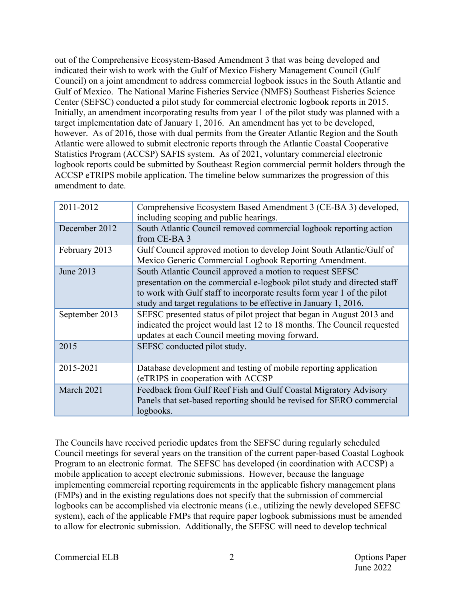out of the Comprehensive Ecosystem-Based Amendment 3 that was being developed and indicated their wish to work with the Gulf of Mexico Fishery Management Council (Gulf Council) on a joint amendment to address commercial logbook issues in the South Atlantic and Gulf of Mexico. The National Marine Fisheries Service (NMFS) Southeast Fisheries Science Center (SEFSC) conducted a pilot study for commercial electronic logbook reports in 2015. Initially, an amendment incorporating results from year 1 of the pilot study was planned with a target implementation date of January 1, 2016. An amendment has yet to be developed, however. As of 2016, those with dual permits from the Greater Atlantic Region and the South Atlantic were allowed to submit electronic reports through the Atlantic Coastal Cooperative Statistics Program (ACCSP) SAFIS system. As of 2021, voluntary commercial electronic logbook reports could be submitted by Southeast Region commercial permit holders through the ACCSP eTRIPS mobile application. The timeline below summarizes the progression of this amendment to date.

| 2011-2012<br>Comprehensive Ecosystem Based Amendment 3 (CE-BA 3) developed,<br>including scoping and public hearings.<br>South Atlantic Council removed commercial logbook reporting action<br>December 2012<br>from CE-BA 3<br>February 2013<br>Gulf Council approved motion to develop Joint South Atlantic/Gulf of<br>Mexico Generic Commercial Logbook Reporting Amendment.<br>South Atlantic Council approved a motion to request SEFSC<br>June 2013<br>presentation on the commercial e-logbook pilot study and directed staff<br>to work with Gulf staff to incorporate results form year 1 of the pilot<br>study and target regulations to be effective in January 1, 2016.<br>SEFSC presented status of pilot project that began in August 2013 and<br>September 2013<br>indicated the project would last 12 to 18 months. The Council requested<br>updates at each Council meeting moving forward. |      |  |
|--------------------------------------------------------------------------------------------------------------------------------------------------------------------------------------------------------------------------------------------------------------------------------------------------------------------------------------------------------------------------------------------------------------------------------------------------------------------------------------------------------------------------------------------------------------------------------------------------------------------------------------------------------------------------------------------------------------------------------------------------------------------------------------------------------------------------------------------------------------------------------------------------------------|------|--|
|                                                                                                                                                                                                                                                                                                                                                                                                                                                                                                                                                                                                                                                                                                                                                                                                                                                                                                              |      |  |
|                                                                                                                                                                                                                                                                                                                                                                                                                                                                                                                                                                                                                                                                                                                                                                                                                                                                                                              |      |  |
|                                                                                                                                                                                                                                                                                                                                                                                                                                                                                                                                                                                                                                                                                                                                                                                                                                                                                                              |      |  |
|                                                                                                                                                                                                                                                                                                                                                                                                                                                                                                                                                                                                                                                                                                                                                                                                                                                                                                              |      |  |
|                                                                                                                                                                                                                                                                                                                                                                                                                                                                                                                                                                                                                                                                                                                                                                                                                                                                                                              |      |  |
| SEFSC conducted pilot study.                                                                                                                                                                                                                                                                                                                                                                                                                                                                                                                                                                                                                                                                                                                                                                                                                                                                                 | 2015 |  |
| 2015-2021<br>Database development and testing of mobile reporting application<br>(eTRIPS in cooperation with ACCSP                                                                                                                                                                                                                                                                                                                                                                                                                                                                                                                                                                                                                                                                                                                                                                                           |      |  |
| March 2021<br>Feedback from Gulf Reef Fish and Gulf Coastal Migratory Advisory<br>Panels that set-based reporting should be revised for SERO commercial<br>logbooks.                                                                                                                                                                                                                                                                                                                                                                                                                                                                                                                                                                                                                                                                                                                                         |      |  |

The Councils have received periodic updates from the SEFSC during regularly scheduled Council meetings for several years on the transition of the current paper-based Coastal Logbook Program to an electronic format. The SEFSC has developed (in coordination with ACCSP) a mobile application to accept electronic submissions. However, because the language implementing commercial reporting requirements in the applicable fishery management plans (FMPs) and in the existing regulations does not specify that the submission of commercial logbooks can be accomplished via electronic means (i.e., utilizing the newly developed SEFSC system), each of the applicable FMPs that require paper logbook submissions must be amended to allow for electronic submission. Additionally, the SEFSC will need to develop technical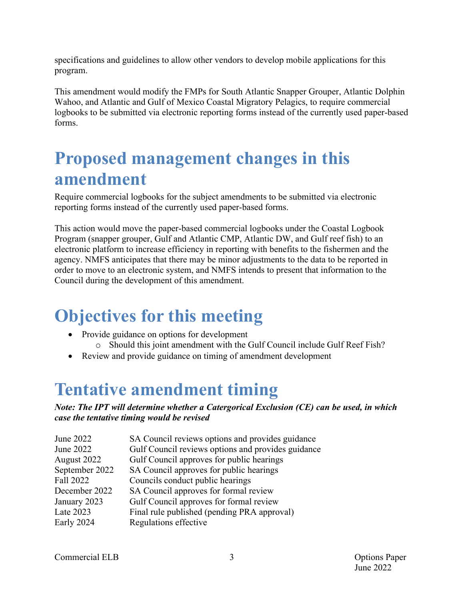specifications and guidelines to allow other vendors to develop mobile applications for this program.

This amendment would modify the FMPs for South Atlantic Snapper Grouper, Atlantic Dolphin Wahoo, and Atlantic and Gulf of Mexico Coastal Migratory Pelagics, to require commercial logbooks to be submitted via electronic reporting forms instead of the currently used paper-based forms.

## **Proposed management changes in this amendment**

Require commercial logbooks for the subject amendments to be submitted via electronic reporting forms instead of the currently used paper-based forms.

This action would move the paper-based commercial logbooks under the Coastal Logbook Program (snapper grouper, Gulf and Atlantic CMP, Atlantic DW, and Gulf reef fish) to an electronic platform to increase efficiency in reporting with benefits to the fishermen and the agency. NMFS anticipates that there may be minor adjustments to the data to be reported in order to move to an electronic system, and NMFS intends to present that information to the Council during the development of this amendment.

# **Objectives for this meeting**

- Provide guidance on options for development
	- o Should this joint amendment with the Gulf Council include Gulf Reef Fish?
- Review and provide guidance on timing of amendment development

## **Tentative amendment timing**

### *Note: The IPT will determine whether a Catergorical Exclusion (CE) can be used, in which case the tentative timing would be revised*

| June 2022      | SA Council reviews options and provides guidance   |
|----------------|----------------------------------------------------|
| June 2022      | Gulf Council reviews options and provides guidance |
| August 2022    | Gulf Council approves for public hearings          |
| September 2022 | SA Council approves for public hearings            |
| Fall 2022      | Councils conduct public hearings                   |
| December 2022  | SA Council approves for formal review              |
| January 2023   | Gulf Council approves for formal review            |
| Late 2023      | Final rule published (pending PRA approval)        |
| Early 2024     | Regulations effective                              |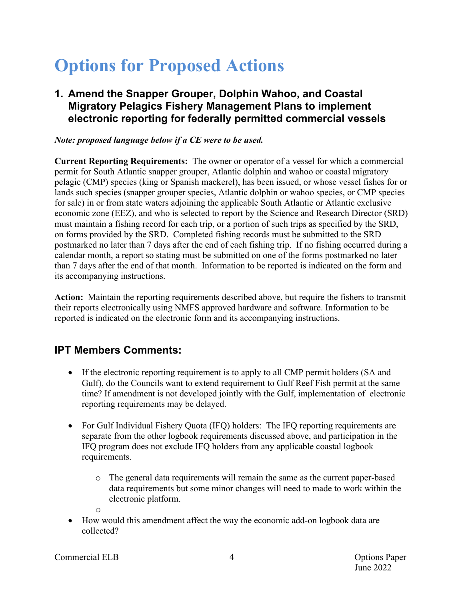# **Options for Proposed Actions**

## **1. Amend the Snapper Grouper, Dolphin Wahoo, and Coastal Migratory Pelagics Fishery Management Plans to implement electronic reporting for federally permitted commercial vessels**

### *Note: proposed language below if a CE were to be used.*

**Current Reporting Requirements:** The owner or operator of a vessel for which a commercial permit for South Atlantic snapper grouper, Atlantic dolphin and wahoo or coastal migratory pelagic (CMP) species (king or Spanish mackerel), has been issued, or whose vessel fishes for or lands such species (snapper grouper species, Atlantic dolphin or wahoo species, or CMP species for sale) in or from state waters adjoining the applicable South Atlantic or Atlantic exclusive economic zone (EEZ), and who is selected to report by the Science and Research Director (SRD) must maintain a fishing record for each trip, or a portion of such trips as specified by the SRD, on forms provided by the SRD. Completed fishing records must be submitted to the SRD postmarked no later than 7 days after the end of each fishing trip. If no fishing occurred during a calendar month, a report so stating must be submitted on one of the forms postmarked no later than 7 days after the end of that month. Information to be reported is indicated on the form and its accompanying instructions.

**Action:** Maintain the reporting requirements described above, but require the fishers to transmit their reports electronically using NMFS approved hardware and software. Information to be reported is indicated on the electronic form and its accompanying instructions.

## **IPT Members Comments:**

- If the electronic reporting requirement is to apply to all CMP permit holders (SA and Gulf), do the Councils want to extend requirement to Gulf Reef Fish permit at the same time? If amendment is not developed jointly with the Gulf, implementation of electronic reporting requirements may be delayed.
- For Gulf Individual Fishery Quota (IFQ) holders: The IFQ reporting requirements are separate from the other logbook requirements discussed above, and participation in the IFQ program does not exclude IFQ holders from any applicable coastal logbook requirements.
	- o The general data requirements will remain the same as the current paper-based data requirements but some minor changes will need to made to work within the electronic platform.
	- o
- How would this amendment affect the way the economic add-on logbook data are collected?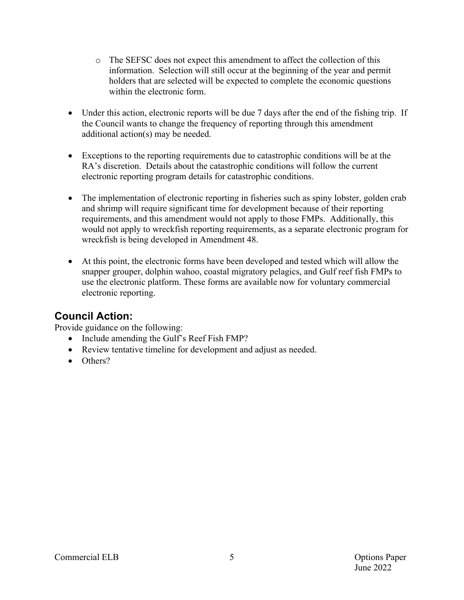- o The SEFSC does not expect this amendment to affect the collection of this information. Selection will still occur at the beginning of the year and permit holders that are selected will be expected to complete the economic questions within the electronic form.
- Under this action, electronic reports will be due 7 days after the end of the fishing trip. If the Council wants to change the frequency of reporting through this amendment additional action(s) may be needed.
- Exceptions to the reporting requirements due to catastrophic conditions will be at the RA's discretion. Details about the catastrophic conditions will follow the current electronic reporting program details for catastrophic conditions.
- The implementation of electronic reporting in fisheries such as spiny lobster, golden crab and shrimp will require significant time for development because of their reporting requirements, and this amendment would not apply to those FMPs. Additionally, this would not apply to wreckfish reporting requirements, as a separate electronic program for wreckfish is being developed in Amendment 48.
- At this point, the electronic forms have been developed and tested which will allow the snapper grouper, dolphin wahoo, coastal migratory pelagics, and Gulf reef fish FMPs to use the electronic platform. These forms are available now for voluntary commercial electronic reporting.

## **Council Action:**

Provide guidance on the following:

- Include amending the Gulf's Reef Fish FMP?
- Review tentative timeline for development and adjust as needed.
- Others?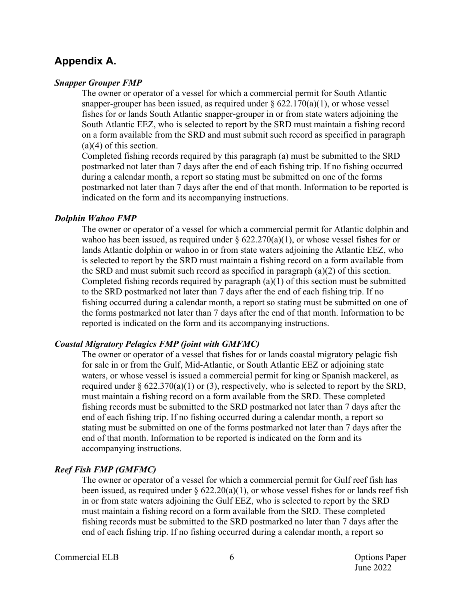### **Appendix A.**

### *Snapper Grouper FMP*

The owner or operator of a vessel for which a commercial permit for South Atlantic snapper-grouper has been issued, as required under  $\S 622.170(a)(1)$ , or whose vessel fishes for or lands South Atlantic snapper-grouper in or from state waters adjoining the South Atlantic EEZ, who is selected to report by the SRD must maintain a fishing record on a form available from the SRD and must submit such record as specified in paragraph (a)(4) of this section.

Completed fishing records required by this paragraph (a) must be submitted to the SRD postmarked not later than 7 days after the end of each fishing trip. If no fishing occurred during a calendar month, a report so stating must be submitted on one of the forms postmarked not later than 7 days after the end of that month. Information to be reported is indicated on the form and its accompanying instructions.

#### *Dolphin Wahoo FMP*

The owner or operator of a vessel for which a commercial permit for Atlantic dolphin and wahoo has been issued, as required under  $\S 622.270(a)(1)$ , or whose vessel fishes for or lands Atlantic dolphin or wahoo in or from state waters adjoining the Atlantic EEZ, who is selected to report by the SRD must maintain a fishing record on a form available from the SRD and must submit such record as specified in paragraph (a)(2) of this section. Completed fishing records required by paragraph  $(a)(1)$  of this section must be submitted to the SRD postmarked not later than 7 days after the end of each fishing trip. If no fishing occurred during a calendar month, a report so stating must be submitted on one of the forms postmarked not later than 7 days after the end of that month. Information to be reported is indicated on the form and its accompanying instructions.

#### *Coastal Migratory Pelagics FMP (joint with GMFMC)*

The owner or operator of a vessel that fishes for or lands coastal migratory pelagic fish for sale in or from the Gulf, Mid-Atlantic, or South Atlantic EEZ or adjoining state waters, or whose vessel is issued a commercial permit for king or Spanish mackerel, as required under  $\S 622.370(a)(1)$  or (3), respectively, who is selected to report by the SRD, must maintain a fishing record on a form available from the SRD. These completed fishing records must be submitted to the SRD postmarked not later than 7 days after the end of each fishing trip. If no fishing occurred during a calendar month, a report so stating must be submitted on one of the forms postmarked not later than 7 days after the end of that month. Information to be reported is indicated on the form and its accompanying instructions.

### *Reef Fish FMP (GMFMC)*

The owner or operator of a vessel for which a commercial permit for Gulf reef fish has been issued, as required under  $\S 622.20(a)(1)$ , or whose vessel fishes for or lands reef fish in or from state waters adjoining the Gulf EEZ, who is selected to report by the SRD must maintain a fishing record on a form available from the SRD. These completed fishing records must be submitted to the SRD postmarked no later than 7 days after the end of each fishing trip. If no fishing occurred during a calendar month, a report so